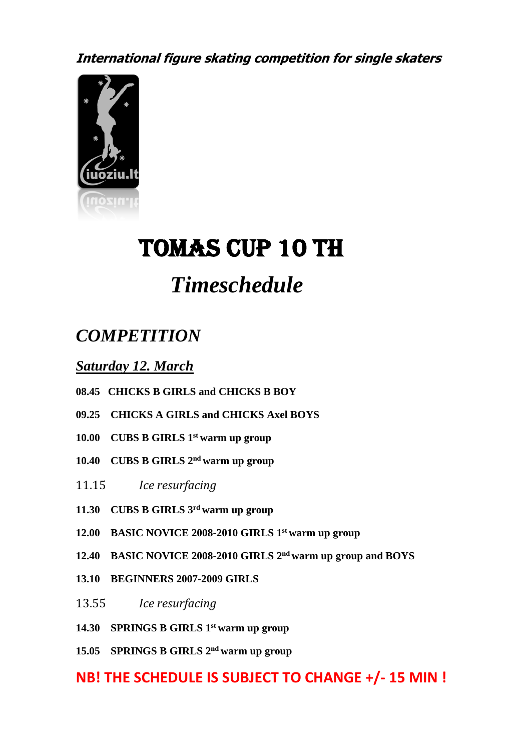**International figure skating competition for single skaters**



# Tomas cup 10 th

## *Timeschedule*

## *COMPETITION*

*Saturday 12. March*

- **08.45 CHICKS B GIRLS and CHICKS B BOY**
- **09.25 CHICKS A GIRLS and CHICKS Axel BOYS**
- **10.00 CUBS B GIRLS 1 st warm up group**
- **10.40 CUBS B GIRLS 2 nd warm up group**
- 11.15 *Ice resurfacing*
- **11.30 CUBS B GIRLS 3 rd warm up group**
- **12.00 BASIC NOVICE 2008-2010 GIRLS 1 st warm up group**
- **12.40 BASIC NOVICE 2008-2010 GIRLS 2 nd warm up group and BOYS**
- **13.10 BEGINNERS 2007-2009 GIRLS**
- 13.55 *Ice resurfacing*
- **14.30 SPRINGS B GIRLS 1 st warm up group**
- **15.05 SPRINGS B GIRLS 2 nd warm up group**

### **NB! THE SCHEDULE IS SUBJECT TO CHANGE +/- 15 MIN !**